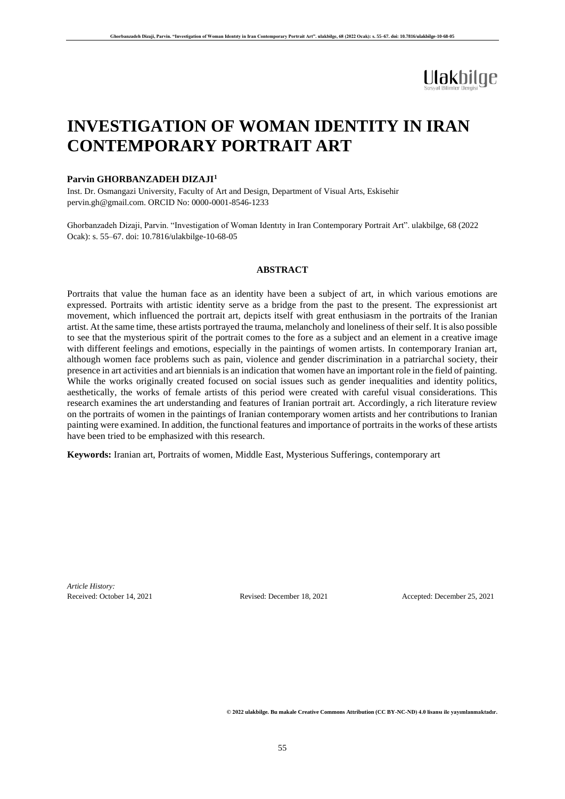# Ulakbilge

### **INVESTIGATION OF WOMAN IDENTITY IN IRAN CONTEMPORARY PORTRAIT ART**

#### **Parvin GHORBANZADEH DIZAJI<sup>1</sup>**

Inst. Dr. Osmangazi University, Faculty of Art and Design, Department of Visual Arts, Eskisehir pervin.gh@gmail.com. ORCID No: 0000-0001-8546-1233

Ghorbanzadeh Dizaji, Parvin. "Investigation of Woman Identıty in Iran Contemporary Portrait Art". ulakbilge, 68 (2022 Ocak): s. 55–67. doi: 10.7816/ulakbilge-10-68-05

#### **ABSTRACT**

Portraits that value the human face as an identity have been a subject of art, in which various emotions are expressed. Portraits with artistic identity serve as a bridge from the past to the present. The expressionist art movement, which influenced the portrait art, depicts itself with great enthusiasm in the portraits of the Iranian artist. At the same time, these artists portrayed the trauma, melancholy and loneliness of their self. It is also possible to see that the mysterious spirit of the portrait comes to the fore as a subject and an element in a creative image with different feelings and emotions, especially in the paintings of women artists. In contemporary Iranian art, although women face problems such as pain, violence and gender discrimination in a patriarchal society, their presence in art activities and art biennials is an indication that women have an important role in the field of painting. While the works originally created focused on social issues such as gender inequalities and identity politics, aesthetically, the works of female artists of this period were created with careful visual considerations. This research examines the art understanding and features of Iranian portrait art. Accordingly, a rich literature review on the portraits of women in the paintings of Iranian contemporary women artists and her contributions to Iranian painting were examined. In addition, the functional features and importance of portraits in the works of these artists have been tried to be emphasized with this research.

**Keywords:** Iranian art, Portraits of women, Middle East, Mysterious Sufferings, contemporary art

*Article History:* Received: October 14, 2021 Revised: December 18, 2021 Accepted: December 25, 2021

© 2022 ulakbilge. Bu makale Creative Commons Attribution (CC BY-NC-ND) 4.0 lisansı ile yayımlanmaktadır.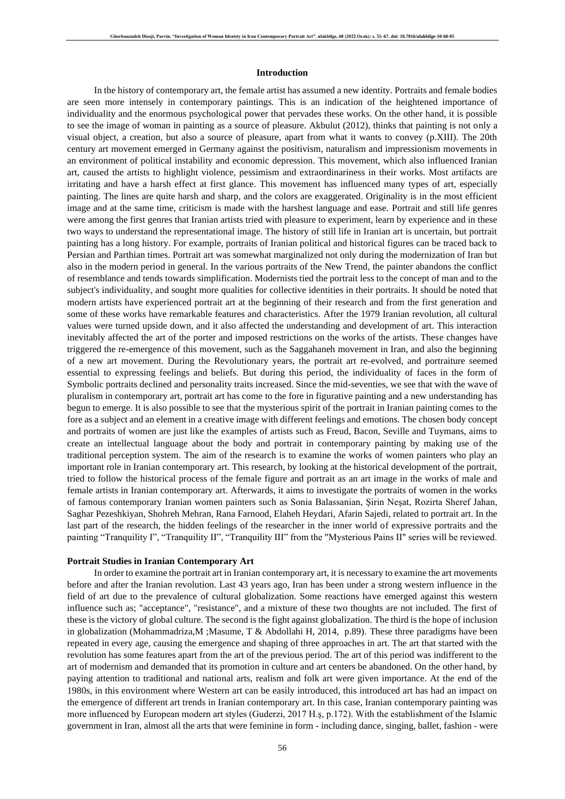#### **Introduction**

In the history of contemporary art, the female artist has assumed a new identity. Portraits and female bodies are seen more intensely in contemporary paintings. This is an indication of the heightened importance of individuality and the enormous psychological power that pervades these works. On the other hand, it is possible to see the image of woman in painting as a source of pleasure. Akbulut (2012), thinks that painting is not only a visual object, a creation, but also a source of pleasure, apart from what it wants to convey (p.XIII). The 20th century art movement emerged in Germany against the positivism, naturalism and impressionism movements in an environment of political instability and economic depression. This movement, which also influenced Iranian art, caused the artists to highlight violence, pessimism and extraordinariness in their works. Most artifacts are irritating and have a harsh effect at first glance. This movement has influenced many types of art, especially painting. The lines are quite harsh and sharp, and the colors are exaggerated. Originality is in the most efficient image and at the same time, criticism is made with the harshest language and ease. Portrait and still life genres were among the first genres that Iranian artists tried with pleasure to experiment, learn by experience and in these two ways to understand the representational image. The history of still life in Iranian art is uncertain, but portrait painting has a long history. For example, portraits of Iranian political and historical figures can be traced back to Persian and Parthian times. Portrait art was somewhat marginalized not only during the modernization of Iran but also in the modern period in general. In the various portraits of the New Trend, the painter abandons the conflict of resemblance and tends towards simplification. Modernists tied the portrait less to the concept of man and to the subject's individuality, and sought more qualities for collective identities in their portraits. It should be noted that modern artists have experienced portrait art at the beginning of their research and from the first generation and some of these works have remarkable features and characteristics. After the 1979 Iranian revolution, all cultural values were turned upside down, and it also affected the understanding and development of art. This interaction inevitably affected the art of the porter and imposed restrictions on the works of the artists. These changes have triggered the re-emergence of this movement, such as the Saggahaneh movement in Iran, and also the beginning of a new art movement. During the Revolutionary years, the portrait art re-evolved, and portraiture seemed essential to expressing feelings and beliefs. But during this period, the individuality of faces in the form of Symbolic portraits declined and personality traits increased. Since the mid-seventies, we see that with the wave of pluralism in contemporary art, portrait art has come to the fore in figurative painting and a new understanding has begun to emerge. It is also possible to see that the mysterious spirit of the portrait in Iranian painting comes to the fore as a subject and an element in a creative image with different feelings and emotions. The chosen body concept and portraits of women are just like the examples of artists such as Freud, Bacon, Seville and Tuymans, aims to create an intellectual language about the body and portrait in contemporary painting by making use of the traditional perception system. The aim of the research is to examine the works of women painters who play an important role in Iranian contemporary art. This research, by looking at the historical development of the portrait, tried to follow the historical process of the female figure and portrait as an art image in the works of male and female artists in Iranian contemporary art. Afterwards, it aims to investigate the portraits of women in the works of famous contemporary Iranian women painters such as Sonia Balassanian, Şirin Neşat, Rozirta Sheref Jahan, Saghar Pezeshkiyan, Shohreh Mehran, Rana Farnood, Elaheh Heydari, Afarin Sajedi, related to portrait art. In the last part of the research, the hidden feelings of the researcher in the inner world of expressive portraits and the painting "Tranquility I", "Tranquility II", "Tranquility III" from the "Mysterious Pains II" series will be reviewed.

#### **Portrait Studies in Iranian Contemporary Art**

In order to examine the portrait art in Iranian contemporary art, it is necessary to examine the art movements before and after the Iranian revolution. Last 43 years ago, Iran has been under a strong western influence in the field of art due to the prevalence of cultural globalization. Some reactions have emerged against this western influence such as; "acceptance", "resistance", and a mixture of these two thoughts are not included. The first of these is the victory of global culture. The second is the fight against globalization. The third is the hope of inclusion in globalization (Mohammadriza,M ;Masume, T & Abdollahi H, 2014, p.89). These three paradigms have been repeated in every age, causing the emergence and shaping of three approaches in art. The art that started with the revolution has some features apart from the art of the previous period. The art of this period was indifferent to the art of modernism and demanded that its promotion in culture and art centers be abandoned. On the other hand, by paying attention to traditional and national arts, realism and folk art were given importance. At the end of the 1980s, in this environment where Western art can be easily introduced, this introduced art has had an impact on the emergence of different art trends in Iranian contemporary art. In this case, Iranian contemporary painting was more influenced by European modern art styles (Guderzi, 2017 H.ş, p.172). With the establishment of the Islamic government in Iran, almost all the arts that were feminine in form - including dance, singing, ballet, fashion - were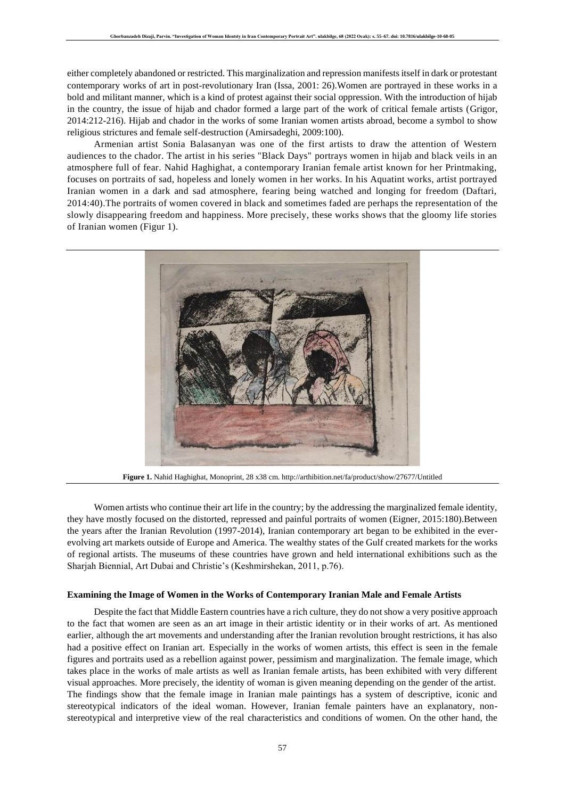either completely abandoned or restricted. This marginalization and repression manifests itself in dark or protestant contemporary works of art in post-revolutionary Iran (Issa, 2001: 26).Women are portrayed in these works in a bold and militant manner, which is a kind of protest against their social oppression. With the introduction of hijab in the country, the issue of hijab and chador formed a large part of the work of critical female artists (Grigor, 2014:212-216). Hijab and chador in the works of some Iranian women artists abroad, become a symbol to show religious strictures and female self-destruction (Amirsadeghi, 2009:100).

Armenian artist Sonia Balasanyan was one of the first artists to draw the attention of Western audiences to the chador. The artist in his series "Black Days" portrays women in hijab and black veils in an atmosphere full of fear. Nahid Haghighat, a contemporary Iranian female artist known for her Printmaking, focuses on portraits of sad, hopeless and lonely women in her works. In his Aquatint works, artist portrayed Iranian women in a dark and sad atmosphere, fearing being watched and longing for freedom (Daftari, 2014:40).The portraits of women covered in black and sometimes faded are perhaps the representation of the slowly disappearing freedom and happiness. More precisely, these works shows that the gloomy life stories of Iranian women (Figur 1).



**Figure 1.** Nahid Haghighat, Monoprint, 28 x38 cm.<http://arthibition.net/fa/product/show/27677/Untitled>

Women artists who continue their art life in the country; by the addressing the marginalized female identity, they have mostly focused on the distorted, repressed and painful portraits of women (Eigner, 2015:180).Between the years after the Iranian Revolution (1997-2014), Iranian contemporary art began to be exhibited in the everevolving art markets outside of Europe and America. The wealthy states of the Gulf created markets for the works of regional artists. The museums of these countries have grown and held international exhibitions such as the Sharjah Biennial, Art Dubai and Christie's (Keshmirshekan, 2011, p.76).

#### **Examining the Image of Women in the Works of Contemporary Iranian Male and Female Artists**

Despite the fact that Middle Eastern countries have a rich culture, they do not show a very positive approach to the fact that women are seen as an art image in their artistic identity or in their works of art. As mentioned earlier, although the art movements and understanding after the Iranian revolution brought restrictions, it has also had a positive effect on Iranian art. Especially in the works of women artists, this effect is seen in the female figures and portraits used as a rebellion against power, pessimism and marginalization. The female image, which takes place in the works of male artists as well as Iranian female artists, has been exhibited with very different visual approaches. More precisely, the identity of woman is given meaning depending on the gender of the artist. The findings show that the female image in Iranian male paintings has a system of descriptive, iconic and stereotypical indicators of the ideal woman. However, Iranian female painters have an explanatory, nonstereotypical and interpretive view of the real characteristics and conditions of women. On the other hand, the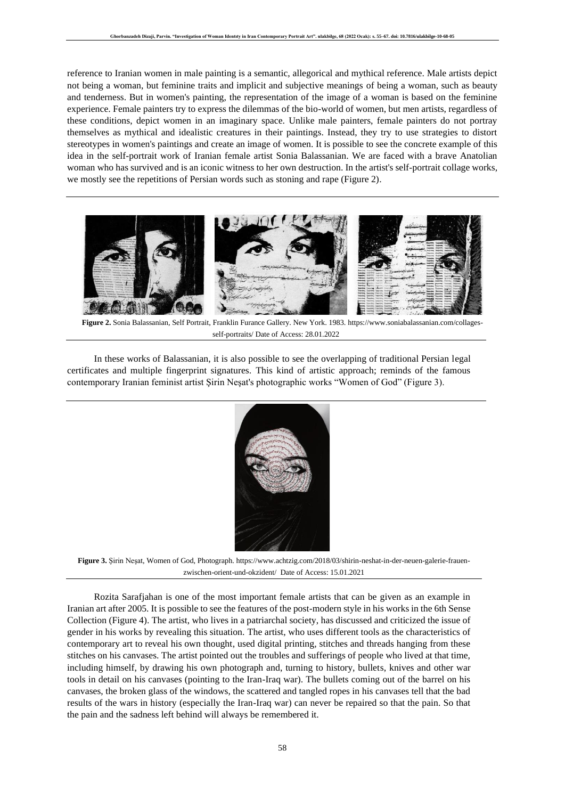reference to Iranian women in male painting is a semantic, allegorical and mythical reference. Male artists depict not being a woman, but feminine traits and implicit and subjective meanings of being a woman, such as beauty and tenderness. But in women's painting, the representation of the image of a woman is based on the feminine experience. Female painters try to express the dilemmas of the bio-world of women, but men artists, regardless of these conditions, depict women in an imaginary space. Unlike male painters, female painters do not portray themselves as mythical and idealistic creatures in their paintings. Instead, they try to use strategies to distort stereotypes in women's paintings and create an image of women. It is possible to see the concrete example of this idea in the self-portrait work of Iranian female artist Sonia Balassanian. We are faced with a brave Anatolian woman who has survived and is an iconic witness to her own destruction. In the artist's self-portrait collage works, we mostly see the repetitions of Persian words such as stoning and rape (Figure 2).



**Figure 2.** Sonia Balassanian, Self Portrait, Franklin Furance Gallery. New York. 1983[. https://www.soniabalassanian.com/collages](https://www.soniabalassanian.com/collages-self-portraits/)[self-portraits/](https://www.soniabalassanian.com/collages-self-portraits/) Date of Access: 28.01.2022

In these works of Balassanian, it is also possible to see the overlapping of traditional Persian legal certificates and multiple fingerprint signatures. This kind of artistic approach; reminds of the famous contemporary Iranian feminist artist Şirin Neşat's photographic works "Women of God" (Figure 3).



**Figure 3.** Şirin Neşat, Women of God, Photograph. [https://www.achtzig.com/2018/03/shirin-neshat-in-der-neuen-galerie-frauen](https://www.achtzig.com/2018/03/shirin-neshat-in-der-neuen-galerie-frauen-zwischen-orient-und-okzident/)[zwischen-orient-und-okzident/](https://www.achtzig.com/2018/03/shirin-neshat-in-der-neuen-galerie-frauen-zwischen-orient-und-okzident/) Date of Access: 15.01.2021

Rozita Sarafjahan is one of the most important female artists that can be given as an example in Iranian art after 2005. It is possible to see the features of the post-modern style in his works in the 6th Sense Collection (Figure 4). The artist, who lives in a patriarchal society, has discussed and criticized the issue of gender in his works by revealing this situation. The artist, who uses different tools as the characteristics of contemporary art to reveal his own thought, used digital printing, stitches and threads hanging from these stitches on his canvases. The artist pointed out the troubles and sufferings of people who lived at that time, including himself, by drawing his own photograph and, turning to history, bullets, knives and other war tools in detail on his canvases (pointing to the Iran-Iraq war). The bullets coming out of the barrel on his canvases, the broken glass of the windows, the scattered and tangled ropes in his canvases tell that the bad results of the wars in history (especially the Iran-Iraq war) can never be repaired so that the pain. So that the pain and the sadness left behind will always be remembered it.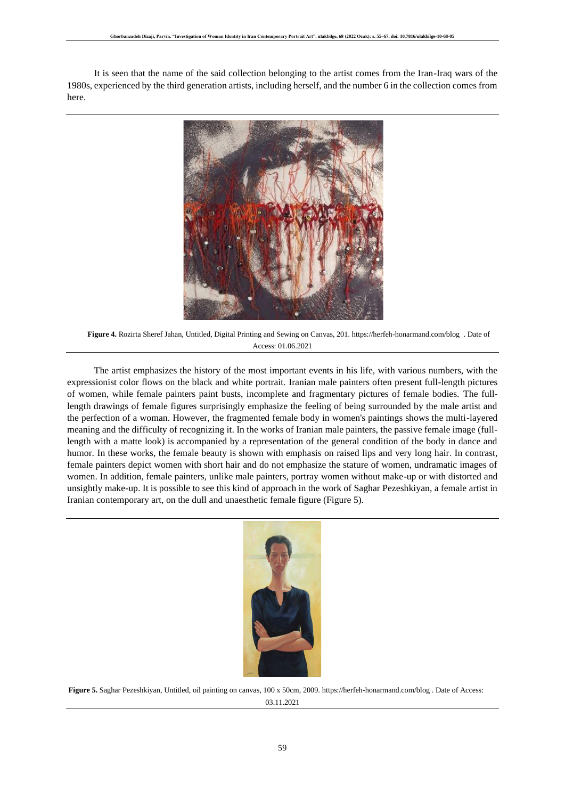It is seen that the name of the said collection belonging to the artist comes from the Iran-Iraq wars of the 1980s, experienced by the third generation artists, including herself, and the number 6 in the collection comes from here.



**Figure 4.** Rozirta Sheref Jahan, Untitled, Digital Printing and Sewing on Canvas, 201.<https://herfeh-honarmand.com/blog>. Date of Access: 01.06.2021

The artist emphasizes the history of the most important events in his life, with various numbers, with the expressionist color flows on the black and white portrait. Iranian male painters often present full-length pictures of women, while female painters paint busts, incomplete and fragmentary pictures of female bodies. The fulllength drawings of female figures surprisingly emphasize the feeling of being surrounded by the male artist and the perfection of a woman. However, the fragmented female body in women's paintings shows the multi-layered meaning and the difficulty of recognizing it. In the works of Iranian male painters, the passive female image (fulllength with a matte look) is accompanied by a representation of the general condition of the body in dance and humor. In these works, the female beauty is shown with emphasis on raised lips and very long hair . In contrast, female painters depict women with short hair and do not emphasize the stature of women, undramatic images of women. In addition, female painters, unlike male painters, portray women without make-up or with distorted and unsightly make-up. It is possible to see this kind of approach in the work of Saghar Pezeshkiyan, a female artist in Iranian contemporary art, on the dull and unaesthetic female figure (Figure 5).



**Figure 5.** Saghar Pezeshkiyan, Untitled, oil painting on canvas, 100 x 50cm, 2009[. https://herfeh-honarmand.com/blog](https://herfeh-honarmand.com/blog) . Date of Access: 03.11.2021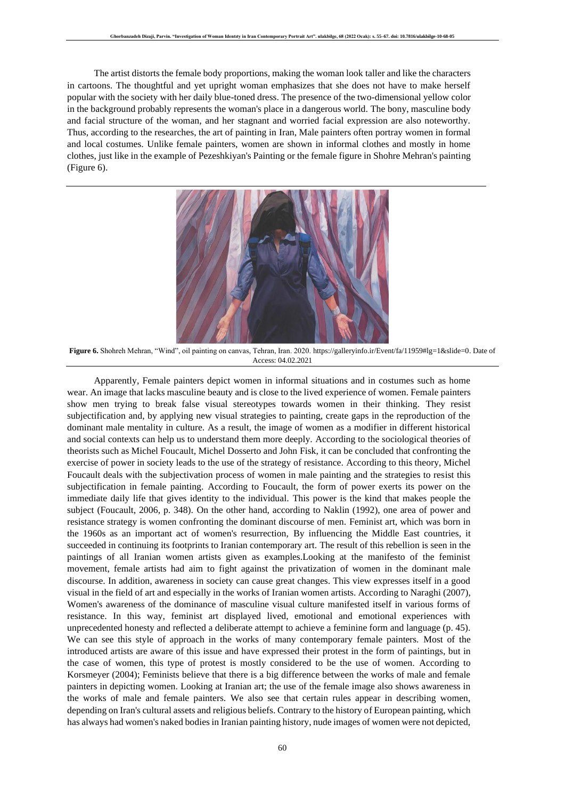The artist distorts the female body proportions, making the woman look taller and like the characters in cartoons. The thoughtful and yet upright woman emphasizes that she does not have to make herself popular with the society with her daily blue-toned dress. The presence of the two-dimensional yellow color in the background probably represents the woman's place in a dangerous world. The bony, masculine body and facial structure of the woman, and her stagnant and worried facial expression are also noteworthy. Thus, according to the researches, the art of painting in Iran, Male painters often portray women in formal and local costumes. Unlike female painters, women are shown in informal clothes and mostly in home clothes, just like in the example of Pezeshkiyan's Painting or the female figure in Shohre Mehran's painting (Figure 6).



**Figure 6.** Shohreh Mehran, "Wind", oil painting on canvas, Tehran, Iran. 2020. [https://galleryinfo.ir/Event/fa/11959#lg=1&slide=0.](https://galleryinfo.ir/Event/fa/11959#lg=1&slide=0) Date of Access: 04.02.2021

Apparently, Female painters depict women in informal situations and in costumes such as home wear. An image that lacks masculine beauty and is close to the lived experience of women. Female painters show men trying to break false visual stereotypes towards women in their thinking. They resist subjectification and, by applying new visual strategies to painting, create gaps in the reproduction of the dominant male mentality in culture. As a result, the image of women as a modifier in different historical and social contexts can help us to understand them more deeply. According to the sociological theories of theorists such as Michel Foucault, Michel Dosserto and John Fisk, it can be concluded that confronting the exercise of power in society leads to the use of the strategy of resistance. According to this theory, Michel Foucault deals with the subjectivation process of women in male painting and the strategies to resist this subjectification in female painting. According to Foucault, the form of power exerts its power on the immediate daily life that gives identity to the individual. This power is the kind that makes people the subject (Foucault, 2006, p. 348). On the other hand, according to Naklin (1992), one area of power and resistance strategy is women confronting the dominant discourse of men. Feminist art, which was born in the 1960s as an important act of women's resurrection, By influencing the Middle East countries, it succeeded in continuing its footprints to Iranian contemporary art. The result of this rebellion is seen in the paintings of all Iranian women artists given as examples.Looking at the manifesto of the feminist movement, female artists had aim to fight against the privatization of women in the dominant male discourse. In addition, awareness in society can cause great changes. This view expresses itself in a good visual in the field of art and especially in the works of Iranian women artists. According to Naraghi (2007), Women's awareness of the dominance of masculine visual culture manifested itself in various forms of resistance. In this way, feminist art displayed lived, emotional and emotional experiences with unprecedented honesty and reflected a deliberate attempt to achieve a feminine form and language (p. 45). We can see this style of approach in the works of many contemporary female painters. Most of the introduced artists are aware of this issue and have expressed their protest in the form of paintings, but in the case of women, this type of protest is mostly considered to be the use of women. According to Korsmeyer (2004); Feminists believe that there is a big difference between the works of male and female painters in depicting women. Looking at Iranian art; the use of the female image also shows awareness in the works of male and female painters. We also see that certain rules appear in describing women, depending on Iran's cultural assets and religious beliefs. Contrary to the history of European painting, which has always had women's naked bodies in Iranian painting history, nude images of women were not depicted,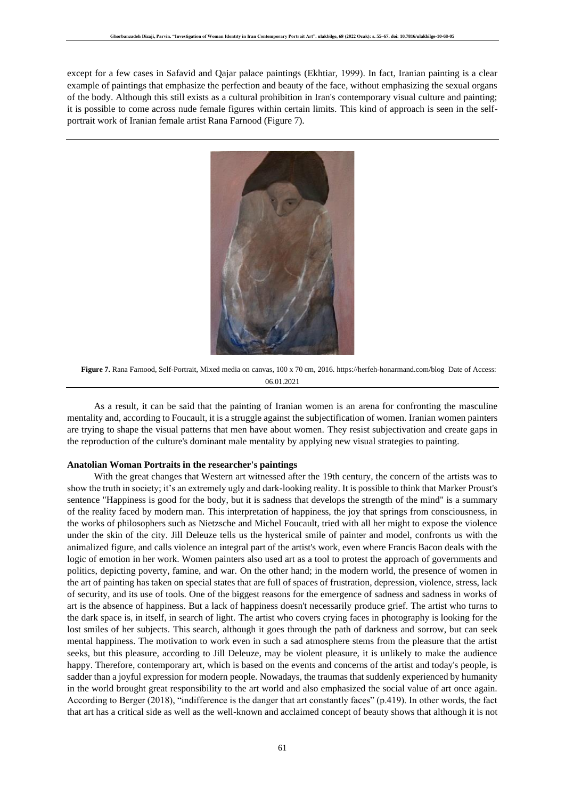except for a few cases in Safavid and Qajar palace paintings (Ekhtiar, 1999). In fact, Iranian painting is a clear example of paintings that emphasize the perfection and beauty of the face, without emphasizing the sexual organs of the body. Although this still exists as a cultural prohibition in Iran's contemporary visual culture and painting; it is possible to come across nude female figures within certain limits. This kind of approach is seen in the selfportrait work of Iranian female artist Rana Farnood (Figure 7).



**Figure 7.** Rana Farnood, Self-Portrait, Mixed media on canvas, 100 x 70 cm, 2016.<https://herfeh-honarmand.com/blog>Date of Access: 06.01.2021

As a result, it can be said that the painting of Iranian women is an arena for confronting the masculine mentality and, according to Foucault, it is a struggle against the subjectification of women. Iranian women painters are trying to shape the visual patterns that men have about women. They resist subjectivation and create gaps in the reproduction of the culture's dominant male mentality by applying new visual strategies to painting.

#### **Anatolian Woman Portraits in the researcher's paintings**

With the great changes that Western art witnessed after the 19th century, the concern of the artists was to show the truth in society; it's an extremely ugly and dark-looking reality. It is possible to think that Marker Proust's sentence "Happiness is good for the body, but it is sadness that develops the strength of the mind" is a summary of the reality faced by modern man. This interpretation of happiness, the joy that springs from consciousness, in the works of philosophers such as Nietzsche and Michel Foucault, tried with all her might to expose the violence under the skin of the city. Jill Deleuze tells us the hysterical smile of painter and model, confronts us with the animalized figure, and calls violence an integral part of the artist's work, even where Francis Bacon deals with the logic of emotion in her work. Women painters also used art as a tool to protest the approach of governments and politics, depicting poverty, famine, and war. On the other hand; in the modern world, the presence of women in the art of painting has taken on special states that are full of spaces of frustration, depression, violence, stress, lack of security, and its use of tools. One of the biggest reasons for the emergence of sadness and sadness in works of art is the absence of happiness. But a lack of happiness doesn't necessarily produce grief. The artist who turns to the dark space is, in itself, in search of light. The artist who covers crying faces in photography is looking for the lost smiles of her subjects. This search, although it goes through the path of darkness and sorrow, but can seek mental happiness. The motivation to work even in such a sad atmosphere stems from the pleasure that the artist seeks, but this pleasure, according to Jill Deleuze, may be violent pleasure, it is unlikely to make the audience happy. Therefore, contemporary art, which is based on the events and concerns of the artist and today's people, is sadder than a joyful expression for modern people. Nowadays, the traumas that suddenly experienced by humanity in the world brought great responsibility to the art world and also emphasized the social value of art once again. According to Berger (2018), "indifference is the danger that art constantly faces" (p.419). In other words, the fact that art has a critical side as well as the well-known and acclaimed concept of beauty shows that although it is not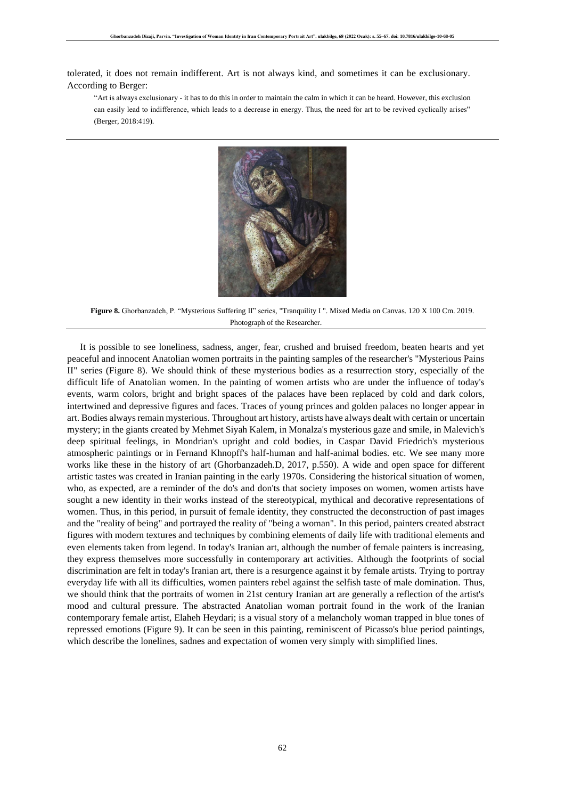tolerated, it does not remain indifferent. Art is not always kind, and sometimes it can be exclusionary. According to Berger:

"Art is always exclusionary - it has to do this in order to maintain the calm in which it can be heard. However, this exclusion can easily lead to indifference, which leads to a decrease in energy. Thus, the need for art to be revived cyclically arises" (Berger, 2018:419).



**Figure 8.** Ghorbanzadeh, P. "Mysterious Suffering II" series, "Tranquility I ". Mixed Media on Canvas. 120 X 100 Cm. 2019. Photograph of the Researcher.

It is possible to see loneliness, sadness, anger, fear, crushed and bruised freedom, beaten hearts and yet peaceful and innocent Anatolian women portraits in the painting samples of the researcher's "Mysterious Pains II" series (Figure 8). We should think of these mysterious bodies as a resurrection story, especially of the difficult life of Anatolian women. In the painting of women artists who are under the influence of today's events, warm colors, bright and bright spaces of the palaces have been replaced by cold and dark colors, intertwined and depressive figures and faces. Traces of young princes and golden palaces no longer appear in art. Bodies always remain mysterious. Throughout art history, artists have always dealt with certain or uncertain mystery; in the giants created by Mehmet Siyah Kalem, in Monalza's mysterious gaze and smile, in Malevich's deep spiritual feelings, in Mondrian's upright and cold bodies, in Caspar David Friedrich's mysterious atmospheric paintings or in Fernand Khnopff's half-human and half-animal bodies. etc. We see many more works like these in the history of art (Ghorbanzadeh.D, 2017, p.550). A wide and open space for different artistic tastes was created in Iranian painting in the early 1970s. Considering the historical situation of women, who, as expected, are a reminder of the do's and don'ts that society imposes on women, women artists have sought a new identity in their works instead of the stereotypical, mythical and decorative representations of women. Thus, in this period, in pursuit of female identity, they constructed the deconstruction of past images and the "reality of being" and portrayed the reality of "being a woman". In this period, painters created abstract figures with modern textures and techniques by combining elements of daily life with traditional elements and even elements taken from legend. In today's Iranian art, although the number of female painters is increasing, they express themselves more successfully in contemporary art activities. Although the footprints of social discrimination are felt in today's Iranian art, there is a resurgence against it by female artists. Trying to portray everyday life with all its difficulties, women painters rebel against the selfish taste of male domination. Thus, we should think that the portraits of women in 21st century Iranian art are generally a reflection of the artist's mood and cultural pressure. The abstracted Anatolian woman portrait found in the work of the Iranian contemporary female artist, Elaheh Heydari; is a visual story of a melancholy woman trapped in blue tones of repressed emotions (Figure 9). It can be seen in this painting, reminiscent of Picasso's blue period paintings, which describe the lonelines, sadnes and expectation of women very simply with simplified lines.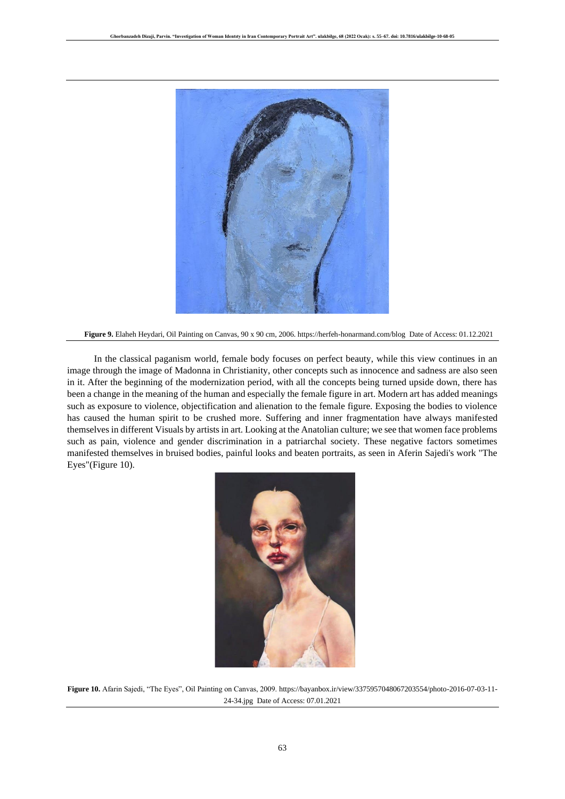

**Figure 9.** Elaheh Heydari, Oil Painting on Canvas, 90 x 90 cm, 2006.<https://herfeh-honarmand.com/blog>Date of Access: 01.12.2021

In the classical paganism world, female body focuses on perfect beauty, while this view continues in an image through the image of Madonna in Christianity, other concepts such as innocence and sadness are also seen in it. After the beginning of the modernization period, with all the concepts being turned upside down, there has been a change in the meaning of the human and especially the female figure in art. Modern art has added meanings such as exposure to violence, objectification and alienation to the female figure. Exposing the bodies to violence has caused the human spirit to be crushed more. Suffering and inner fragmentation have always manifested themselves in different Visuals by artists in art. Looking at the Anatolian culture; we see that women face problems such as pain, violence and gender discrimination in a patriarchal society. These negative factors sometimes manifested themselves in bruised bodies, painful looks and beaten portraits, as seen in Aferin Sajedi's work "The Eyes"(Figure 10).



**Figure 10.** Afarin Sajedi, "The Eyes", Oil Painting on Canvas, 2009[. https://bayanbox.ir/view/3375957048067203554/photo-2016-07-03-11-](https://bayanbox.ir/view/3375957048067203554/photo-2016-07-03-11-24-34.jpg) [24-34.jpg](https://bayanbox.ir/view/3375957048067203554/photo-2016-07-03-11-24-34.jpg) Date of Access: 07.01.2021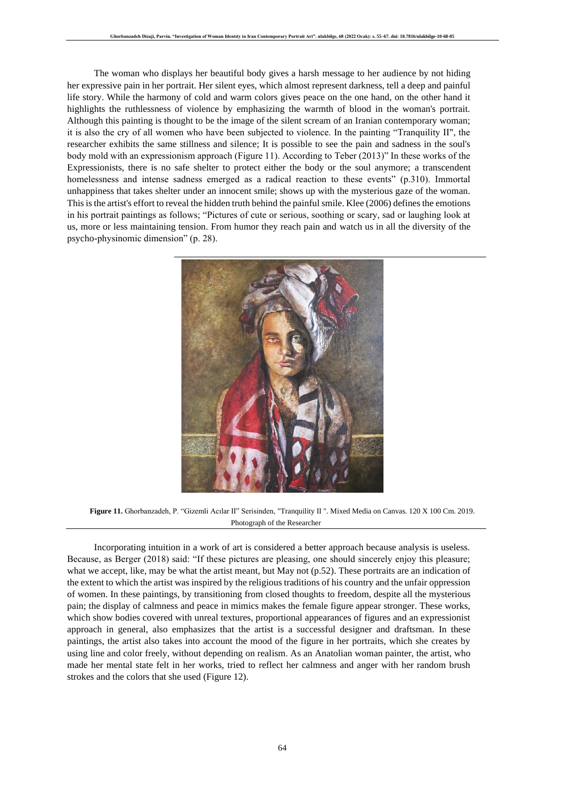The woman who displays her beautiful body gives a harsh message to her audience by not hiding her expressive pain in her portrait. Her silent eyes, which almost represent darkness, tell a deep and painful life story. While the harmony of cold and warm colors gives peace on the one hand, on the other hand it highlights the ruthlessness of violence by emphasizing the warmth of blood in the woman's portrait. Although this painting is thought to be the image of the silent scream of an Iranian contemporary woman; it is also the cry of all women who have been subjected to violence. In the painting "Tranquility II", the researcher exhibits the same stillness and silence; It is possible to see the pain and sadness in the soul's body mold with an expressionism approach (Figure 11). According to Teber (2013)" In these works of the Expressionists, there is no safe shelter to protect either the body or the soul anymore; a transcendent homelessness and intense sadness emerged as a radical reaction to these events" (p.310). Immortal unhappiness that takes shelter under an innocent smile; shows up with the mysterious gaze of the woman. This is the artist's effort to reveal the hidden truth behind the painful smile. Klee (2006) defines the emotions in his portrait paintings as follows; "Pictures of cute or serious, soothing or scary, sad or laughing look at us, more or less maintaining tension. From humor they reach pain and watch us in all the diversity of the psycho-physinomic dimension" (p. 28).



**Figure 11.** Ghorbanzadeh, P. "Gizemli Acılar II" Serisinden, "Tranquility II ". Mixed Media on Canvas. 120 X 100 Cm. 2019. Photograph of the Researcher

Incorporating intuition in a work of art is considered a better approach because analysis is useless. Because, as Berger (2018) said: "If these pictures are pleasing, one should sincerely enjoy this pleasure; what we accept, like, may be what the artist meant, but May not (p.52). These portraits are an indication of the extent to which the artist was inspired by the religious traditions of his country and the unfair oppression of women. In these paintings, by transitioning from closed thoughts to freedom, despite all the mysterious pain; the display of calmness and peace in mimics makes the female figure appear stronger. These works, which show bodies covered with unreal textures, proportional appearances of figures and an expressionist approach in general, also emphasizes that the artist is a successful designer and draftsman. In these paintings, the artist also takes into account the mood of the figure in her portraits, which she creates by using line and color freely, without depending on realism. As an Anatolian woman painter, the artist, who made her mental state felt in her works, tried to reflect her calmness and anger with her random brush strokes and the colors that she used (Figure 12).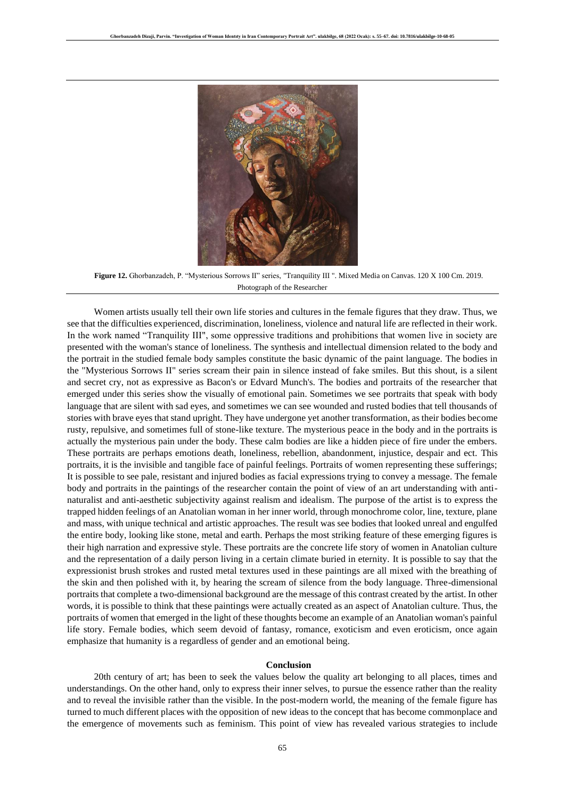

**Figure 12.** Ghorbanzadeh, P. "Mysterious Sorrows II" series, "Tranquility III ". Mixed Media on Canvas. 120 X 100 Cm. 2019. Photograph of the Researcher

Women artists usually tell their own life stories and cultures in the female figures that they draw. Thus, we see that the difficulties experienced, discrimination, loneliness, violence and natural life are reflected in their work. In the work named "Tranquility III", some oppressive traditions and prohibitions that women live in society are presented with the woman's stance of loneliness. The synthesis and intellectual dimension related to the body and the portrait in the studied female body samples constitute the basic dynamic of the paint language. The bodies in the "Mysterious Sorrows II" series scream their pain in silence instead of fake smiles. But this shout, is a silent and secret cry, not as expressive as Bacon's or Edvard Munch's. The bodies and portraits of the researcher that emerged under this series show the visually of emotional pain. Sometimes we see portraits that speak with body language that are silent with sad eyes, and sometimes we can see wounded and rusted bodies that tell thousands of stories with brave eyes that stand upright. They have undergone yet another transformation, as their bodies become rusty, repulsive, and sometimes full of stone-like texture. The mysterious peace in the body and in the portraits is actually the mysterious pain under the body. These calm bodies are like a hidden piece of fire under the embers. These portraits are perhaps emotions death, loneliness, rebellion, abandonment, injustice, despair and ect. This portraits, it is the invisible and tangible face of painful feelings. Portraits of women representing these sufferings; It is possible to see pale, resistant and injured bodies as facial expressions trying to convey a message. The female body and portraits in the paintings of the researcher contain the point of view of an art understanding with antinaturalist and anti-aesthetic subjectivity against realism and idealism. The purpose of the artist is to express the trapped hidden feelings of an Anatolian woman in her inner world, through monochrome color, line, texture, plane and mass, with unique technical and artistic approaches. The result was see bodies that looked unreal and engulfed the entire body, looking like stone, metal and earth. Perhaps the most striking feature of these emerging figures is their high narration and expressive style. These portraits are the concrete life story of women in Anatolian culture and the representation of a daily person living in a certain climate buried in eternity. It is possible to say that the expressionist brush strokes and rusted metal textures used in these paintings are all mixed with the breathing of the skin and then polished with it, by hearing the scream of silence from the body language. Three-dimensional portraits that complete a two-dimensional background are the message of this contrast created by the artist. In other words, it is possible to think that these paintings were actually created as an aspect of Anatolian culture. Thus, the portraits of women that emerged in the light of these thoughts become an example of an Anatolian woman's painful life story. Female bodies, which seem devoid of fantasy, romance, exoticism and even eroticism, once again emphasize that humanity is a regardless of gender and an emotional being.

#### **Conclusion**

20th century of art; has been to seek the values below the quality art belonging to all places, times and understandings. On the other hand, only to express their inner selves, to pursue the essence rather than the reality and to reveal the invisible rather than the visible. In the post-modern world, the meaning of the female figure has turned to much different places with the opposition of new ideas to the concept that has become commonplace and the emergence of movements such as feminism. This point of view has revealed various strategies to include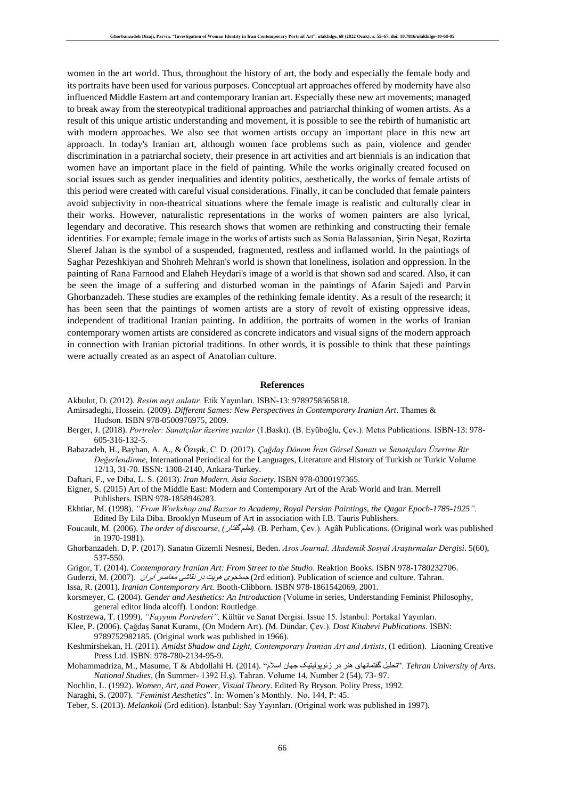women in the art world. Thus, throughout the history of art, the body and especially the female body and its portraits have been used for various purposes. Conceptual art approaches offered by modernity have also influenced Middle Eastern art and contemporary Iranian art. Especially these new art movements; managed to break away from the stereotypical traditional approaches and patriarchal thinking of women artists. As a result of this unique artistic understanding and movement, it is possible to see the rebirth of humanistic art with modern approaches. We also see that women artists occupy an important place in this new art approach. In today's Iranian art, although women face problems such as pain, violence and gender discrimination in a patriarchal society, their presence in art activities and art biennials is an indication that women have an important place in the field of painting. While the works originally created focused on social issues such as gender inequalities and identity politics, aesthetically, the works of female artists of this period were created with careful visual considerations. Finally, it can be concluded that female painters avoid subjectivity in non-theatrical situations where the female image is realistic and culturally clear in their works. However, naturalistic representations in the works of women painters are also lyrical, legendary and decorative. This research shows that women are rethinking and constructing their female identities. For example; female image in the works of artists such as Sonia Balassanian, Şirin Neşat, Rozirta Sheref Jahan is the symbol of a suspended, fragmented, restless and inflamed world. In the paintings of Saghar Pezeshkiyan and Shohreh Mehran's world is shown that loneliness, isolation and oppression. In the painting of Rana Farnood and Elaheh Heydari's image of a world is that shown sad and scared. Also, it can be seen the image of a suffering and disturbed woman in the paintings of Afarin Sajedi and Parvin Ghorbanzadeh. These studies are examples of the rethinking female identity. As a result of the research; it has been seen that the paintings of women artists are a story of revolt of existing oppressive ideas, independent of traditional Iranian painting. In addition, the portraits of women in the works of Iranian contemporary women artists are considered as concrete indicators and visual signs of the modern approach in connection with Iranian pictorial traditions. In other words, it is possible to think that these paintings were actually created as an aspect of Anatolian culture.

#### **References**

- Akbulut, D. (2012). *Resim neyi anlatır.* Etik Yayınları. ISBN-13: 9789758565818.
- Amirsadeghi, Hossein. (2009). *Different Sames: New Perspectives in Contemporary Iranian Art*. Thames & Hudson. [ISBN](https://fa.wikipedia.org/wiki/%D8%B4%D9%85%D8%A7%D8%B1%D9%87_%D8%A7%D8%B3%D8%AA%D8%A7%D9%86%D8%AF%D8%A7%D8%B1%D8%AF_%D8%A8%DB%8C%D9%86%E2%80%8C%D8%A7%D9%84%D9%85%D9%84%D9%84%DB%8C_%DA%A9%D8%AA%D8%A7%D8%A8) [978-0500976975,](https://fa.wikipedia.org/wiki/%D9%88%DB%8C%DA%98%D9%87:%D9%85%D9%86%D8%A7%D8%A8%D8%B9_%DA%A9%D8%AA%D8%A7%D8%A8/978-0500976975) 2009.
- Berger, J. (2018). *Portreler: Sanatçılar üzerine yazılar* (1.Baskı). (B. Eyüboğlu, Çev.). Metis Publications. ISBN-13: 978- 605-316-132-5.
- Babazadeh, H., Bayhan, A. A., & Özışık, C. D. (2017). *Çağdaş Dönem İran Görsel Sanatı ve Sanatçıları Üzerine Bir Değerlendirme*, International Periodical for the Languages, Literature and History of Turkish or Turkic Volume 12/13, 31-70. ISSN: 1308-2140, Ankara-Turkey.

Daftari, F., ve Diba, L. S. (2013). *Iran Modern. [Asia Society](https://fa.wikipedia.org/wiki/%D8%A7%D9%86%D8%AC%D9%85%D9%86_%D8%A2%D8%B3%DB%8C%D8%A7)*. [ISBN](https://fa.wikipedia.org/wiki/%D8%B4%D9%85%D8%A7%D8%B1%D9%87_%D8%A7%D8%B3%D8%AA%D8%A7%D9%86%D8%AF%D8%A7%D8%B1%D8%AF_%D8%A8%DB%8C%D9%86%E2%80%8C%D8%A7%D9%84%D9%85%D9%84%D9%84%DB%8C_%DA%A9%D8%AA%D8%A7%D8%A8) [978-0300197365.](https://fa.wikipedia.org/wiki/%D9%88%DB%8C%DA%98%D9%87:%D9%85%D9%86%D8%A7%D8%A8%D8%B9_%DA%A9%D8%AA%D8%A7%D8%A8/978-0300197365)

- Eigner, S. (2015) Art of the Middle East: Modern and Contemporary Art of the Arab World and Iran. Merrell Publishers. [ISBN](https://fa.wikipedia.org/wiki/%D8%B4%D9%85%D8%A7%D8%B1%D9%87_%D8%A7%D8%B3%D8%AA%D8%A7%D9%86%D8%AF%D8%A7%D8%B1%D8%AF_%D8%A8%DB%8C%D9%86%E2%80%8C%D8%A7%D9%84%D9%85%D9%84%D9%84%DB%8C_%DA%A9%D8%AA%D8%A7%D8%A8) [978-1858946283.](https://fa.wikipedia.org/wiki/%D9%88%DB%8C%DA%98%D9%87:%D9%85%D9%86%D8%A7%D8%A8%D8%B9_%DA%A9%D8%AA%D8%A7%D8%A8/978-1858946283)
- Ekhtiar, M. (1998). *"From Workshop and Bazzar to Academy, Royal Persian Paintings, the Qagar Epoch-1785-1925"*. Edited By Lila Diba. Brooklyn Museum of Art in association with I.B. Tauris Publishers.
- Foucault, M. (2006). *The order of discourse, (*گفتار نظم*(*.) B. Perham, Çev.). Agâh Publications. (Original work was published in 1970-1981).
- Ghorbanzadeh. D, P. (2017). Sanatın Gizemlı̇ Nesnesı̇, Beden. *Asos Journal. Akademik Sosyal Araştırmalar Dergisi*. 5(60), 537-550.
- Grigor, T. (2014). *Contemporary Iranian Art: From Street to the Studio*. Reaktion Books. [ISBN](https://fa.wikipedia.org/wiki/%D8%B4%D9%85%D8%A7%D8%B1%D9%87_%D8%A7%D8%B3%D8%AA%D8%A7%D9%86%D8%AF%D8%A7%D8%B1%D8%AF_%D8%A8%DB%8C%D9%86%E2%80%8C%D8%A7%D9%84%D9%85%D9%84%D9%84%DB%8C_%DA%A9%D8%AA%D8%A7%D8%A8) [978-1780232706.](https://fa.wikipedia.org/wiki/%D9%88%DB%8C%DA%98%D9%87:%D9%85%D9%86%D8%A7%D8%A8%D8%B9_%DA%A9%D8%AA%D8%A7%D8%A8/978-1780232706)
- Guderzi, M. (2007). ایران معاصر نقاشی در هویت جستجوی) 2rd edition). Publication of science and culture. Tahran.

Issa, R. (2001). *Iranian Contemporary Art.* Booth-Clibborn. [ISBN](https://fa.wikipedia.org/wiki/%D8%B4%D9%85%D8%A7%D8%B1%D9%87_%D8%A7%D8%B3%D8%AA%D8%A7%D9%86%D8%AF%D8%A7%D8%B1%D8%AF_%D8%A8%DB%8C%D9%86%E2%80%8C%D8%A7%D9%84%D9%85%D9%84%D9%84%DB%8C_%DA%A9%D8%AA%D8%A7%D8%A8) [978-1861542069,](https://fa.wikipedia.org/wiki/%D9%88%DB%8C%DA%98%D9%87:%D9%85%D9%86%D8%A7%D8%A8%D8%B9_%DA%A9%D8%AA%D8%A7%D8%A8/978-1861542069) 2001.

- korsmeyer, C. (2004). *Gender and Aesthetics: An Introduction* (Volume in series, Understanding Feminist Philosophy, general editor linda alcoff). London: Routledge.
- Kostrzewa, T. (1999). *"Fayyum Portreleri",* Kültür ve Sanat Dergisi. Issue 15. İstanbul: Portakal Yayınları.

Klee, P. (2006). Çağdaş Sanat Kuramı, (On Modern Art). (M. Dündar, Çev.). *Dost Kitabevi Publications*. ISBN:

- 9789752982185. (Original work was published in 1966). Keshmirshekan, H. (2011). *Amidst Shadow and Light, Contemporary İranian Art and Artists*, (1 edition). Liaoning Creative Press Ltd. ISBN: 978-780-2134-95-9.
- Mohammadriza, M., Masume, T & Abdollahi H. (2014). "اسالم جهان ژئوپولیتیک در هنر گفتمانهای تحلیل". *Tehran University of Arts. National Studies*, (İn Summer- 1392 H.ş). Tahran. Volume 14, Number 2 (54), 73- 97.
- Nochlin, L. (1992). *Women, Art, and Power, Visual Theory*. Edited By Bryson. Polity Press, 1992.
- Naraghi, S. (2007). *"Feminist Aesthetics*". İn: Women's Monthly. No. 144, P: 45.
- Teber, S. (2013). *Melankoli* (5rd edition). İstanbul: Say Yayınları. (Original work was published in 1997).